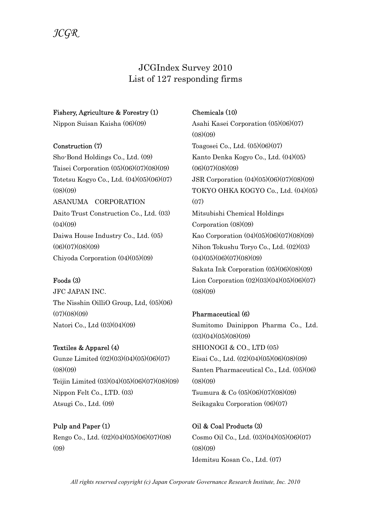# JCGIndex Survey 2010 List of 127 responding firms

#### Fishery, Agriculture & Forestry (1)

Nippon Suisan Kaisha (06)(09)

#### Construction (7)

Sho-Bond Holdings Co., Ltd. (09) Taisei Corporation (05)(06)(07)(08)(09) Totetsu Kogyo Co., Ltd. (04)(05)(06)(07)  $(08)(09)$ ASANUMA CORPORATION Daito Trust Construction Co., Ltd. (03)  $(04)(09)$ Daiwa House Industry Co., Ltd. (05) (06)(07)(08)(09) Chiyoda Corporation (04)(05)(09)

# Foods (3)

JFC JAPAN INC. The Nisshin OilliO Group, Ltd, (05)(06)  $(07)(08)(09)$ Natori Co., Ltd (03)(04)(09)

Textiles & Apparel (4) Gunze Limited (02)(03)(04)(05)(06)(07)  $(08)(09)$ Teijin Limited (03)(04)(05)(06)(07)(08)(09) Nippon Felt Co., LTD. (03) Atsugi Co., Ltd. (09)

Pulp and Paper (1) Rengo Co., Ltd. (02)(04)(05)(06)(07)(08)  $(0.9)$ 

# Chemicals (10)

Asahi Kasei Corporation (05)(06)(07)  $(08)(09)$ Toagosei Co., Ltd. (05)(06)(07) Kanto Denka Kogyo Co., Ltd. (04)(05)  $(06)(07)(08)(09)$ JSR Corporation (04)(05)(06)(07)(08)(09) TOKYO OHKA KOGYO Co., Ltd. (04)(05) (07) Mitsubishi Chemical Holdings Corporation (08)(09) Kao Corporation (04)(05)(06)(07)(08)(09) Nihon Tokushu Toryo Co., Ltd. (02)(03)  $(04)(05)(06)(07)(08)(09)$ Sakata Ink Corporation (05)(06)(08)(09) Lion Corporation (02)(03)(04)(05)(06)(07)  $(08)(09)$ 

# Pharmaceutical (6)

Sumitomo Dainippon Pharma Co., Ltd.  $(03)(04)(05)(08)(09)$ SHIONOGI & CO., LTD (05) Eisai Co., Ltd. (02)(04)(05)(06)(08)(09) Santen Pharmaceutical Co., Ltd. (05)(06)  $(08)(09)$ Tsumura & Co (05)(06)(07)(08)(09) Seikagaku Corporation (06)(07)

Oil & Coal Products (3) Cosmo Oil Co., Ltd. (03)(04)(05)(06)(07)  $(08)(09)$ Idemitsu Kosan Co., Ltd. (07)

All rights reserved copyright (c) Japan Corporate Governance Research Institute, Inc. 2010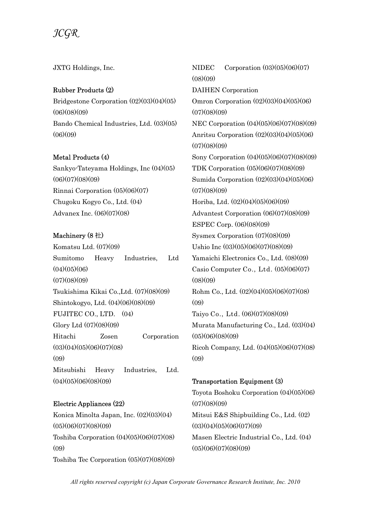JXTG Holdings, Inc.

#### Rubber Products (2)

Bridgestone Corporation (02)(03)(04)(05) (06)(08)(09) Bando Chemical Industries, Ltd. (03)(05)  $(06)(09)$ 

# Metal Products (4)

Sankyo-Tateyama Holdings, Inc (04)(05)  $(06)(07)(08)(09)$ Rinnai Corporation (05)(06)(07) Chugoku Kogyo Co., Ltd. (04) Advanex Inc. (06)(07)(08)

# Machinery (8 社)

Komatsu Ltd. (07)(09) Sumitomo Heavy Industries, Ltd  $(04)(05)(06)$  $(07)(08)(09)$ Tsukishima Kikai Co.,Ltd. (07)(08)(09) Shintokogyo, Ltd. (04)(06)(08)(09) FUJITEC CO., LTD. (04) Glory Ltd (07)(08)(09) Hitachi Zosen Corporation  $(03)(04)(05)(06)(07)(08)$  $(09)$ Mitsubishi Heavy Industries, Ltd.  $(04)(05)(06)(08)(09)$ 

# Electric Appliances (22)

Konica Minolta Japan, Inc. (02)(03)(04) (05)(06)(07)(08)(09) Toshiba Corporation (04)(05)(06)(07)(08)  $(0.9)$ Toshiba Tec Corporation (05)(07)(08)(09) NIDEC Corporation (03)(05)(06)(07)  $(08)(09)$ DAIHEN Corporation Omron Corporation (02)(03)(04)(05)(06)  $(07)(08)(09)$ NEC Corporation (04)(05)(06)(07)(08)(09) Anritsu Corporation (02)(03)(04)(05)(06)  $(07)(08)(09)$ Sony Corporation (04)(05)(06)(07)(08)(09) TDK Corporation (05)(06)(07)(08)(09) Sumida Corporation (02)(03)(04)(05)(06)  $(07)(08)(09)$ Horiba, Ltd. (02)(04)(05)(06)(09) Advantest Corporation (06)(07)(08)(09) ESPEC Corp. (06)(08)(09) Sysmex Corporation (07)(08)(09) Ushio Inc (03)(05)(06)(07)(08)(09) Yamaichi Electronics Co., Ltd. (08)(09) Casio Computer Co., Ltd. (05)(06)(07)  $(08)(09)$ Rohm Co., Ltd. (02)(04)(05)(06)(07)(08)  $(0,9)$ Taiyo Co., Ltd. (06)(07)(08)(09) Murata Manufacturing Co., Ltd. (03)(04)  $(05)(06)(08)(09)$ Ricoh Company, Ltd. (04)(05)(06)(07)(08)  $(09)$ 

Transportation Equipment (3) Toyota Boshoku Corporation (04)(05)(06)  $(07)(08)(09)$ Mitsui E&S Shipbuilding Co., Ltd. (02)  $(03)(04)(05)(06)(07)(09)$ Masen Electric Industrial Co., Ltd. (04)  $(05)(06)(07)(08)(09)$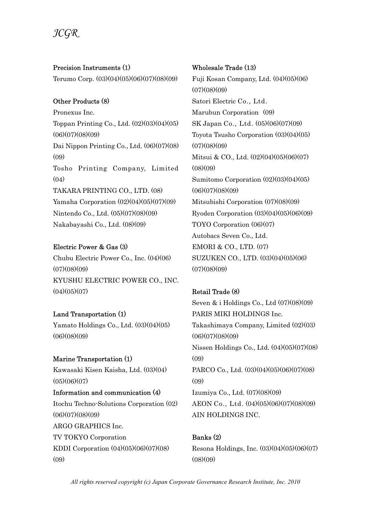# $\mathcal{H}$ GK

Precision Instruments (1) Terumo Corp. (03)(04)(05)(06)(07)(08)(09)

# Other Products (8)

Pronexus Inc. Toppan Printing Co., Ltd. (02)(03)(04)(05)  $(06)(07)(08)(09)$ Dai Nippon Printing Co., Ltd. (06)(07)(08) (09) Tosho Printing Company, Limited  $(04)$ TAKARA PRINTING CO., LTD. (08) Yamaha Corporation (02)(04)(05)(07)(09) Nintendo Co., Ltd. (05)(07)(08)(09) Nakabayashi Co., Ltd. (08)(09)

# Electric Power & Gas (3)

Chubu Electric Power Co., Inc. (04)(06)  $(07)(08)(09)$ KYUSHU ELECTRIC POWER CO., INC.  $(04)(05)(07)$ 

# Land Transportation (1)

Yamato Holdings Co., Ltd. (03)(04)(05)  $(06)(08)(09)$ 

# Marine Transportation (1)

Kawasaki Kisen Kaisha, Ltd. (03)(04)  $(05)(06)(07)$ 

Information and communication (4) Itochu Techno-Solutions Corporation (02)  $(06)(07)(08)(09)$ ARGO GRAPHICS Inc.

TV TOKYO Corporation KDDI Corporation (04)(05)(06)(07)(08)  $(0.9)$ 

#### Wholesale Trade (13)

Fuji Kosan Company, Ltd. (04)(05)(06)  $(07)(08)(09)$ Satori Electric Co., Ltd. Marubun Corporation (09) SK Japan Co., Ltd. (05)(06)(07)(09) Toyota Tsusho Corporation (03)(04)(05)  $(07)(08)(09)$ Mitsui & CO., Ltd. (02)(04)(05)(06)(07)  $(08)(09)$ Sumitomo Corporation (02)(03)(04)(05)  $(06)(07)(08)(09)$ Mitsubishi Corporation (07)(08)(09) Ryoden Corporation (03)(04)(05)(06)(09) TOYO Corporation (06)(07) Autobacs Seven Co., Ltd. EMORI & CO., LTD. (07) SUZUKEN CO., LTD. (03)(04)(05)(06)  $(07)(08)(09)$ 

# Retail Trade (8)

Seven & i Holdings Co., Ltd (07)(08)(09) PARIS MIKI HOLDINGS Inc. Takashimaya Company, Limited (02)(03)  $(06)(07)(08)(09)$ Nissen Holdings Co., Ltd. (04)(05)(07)(08)  $(09)$ PARCO Co., Ltd. (03)(04)(05)(06)(07)(08)  $(09)$ Izumiya Co., Ltd. (07)(08)(09) AEON Co., Ltd. (04)(05)(06)(07)(08)(09) AIN HOLDINGS INC.

# Banks (2)

Resona Holdings, Inc. (03)(04)(05)(06)(07)  $(08)(09)$ 

All rights reserved copyright (c) Japan Corporate Governance Research Institute, Inc. 2010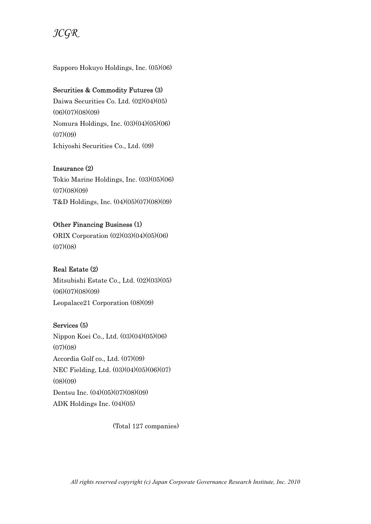

Sapporo Hokuyo Holdings, Inc. (05)(06)

#### Securities & Commodity Futures (3)

Daiwa Securities Co. Ltd. (02)(04)(05)  $(06)(07)(08)(09)$ Nomura Holdings, Inc. (03)(04)(05)(06)  $(07)(09)$ Ichiyoshi Securities Co., Ltd. (09)

#### Insurance (2)

Tokio Marine Holdings, Inc. (03)(05)(06)  $(07)(08)(09)$ T&D Holdings, Inc. (04)(05)(07)(08)(09)

# Other Financing Business (1)

ORIX Corporation (02)(03)(04)(05)(06)  $(07)(08)$ 

# Real Estate (2)

Mitsubishi Estate Co., Ltd. (02)(03)(05)  $(06)(07)(08)(09)$ Leopalace21 Corporation (08)(09)

# Services (5)

Nippon Koei Co., Ltd. (03)(04)(05)(06)  $(07)(08)$ Accordia Golf co., Ltd. (07)(09) NEC Fielding, Ltd. (03)(04)(05)(06)(07)  $(08)(09)$ Dentsu Inc. (04)(05)(07)(08)(09) ADK Holdings Inc. (04)(05)

(Total 127 companies)